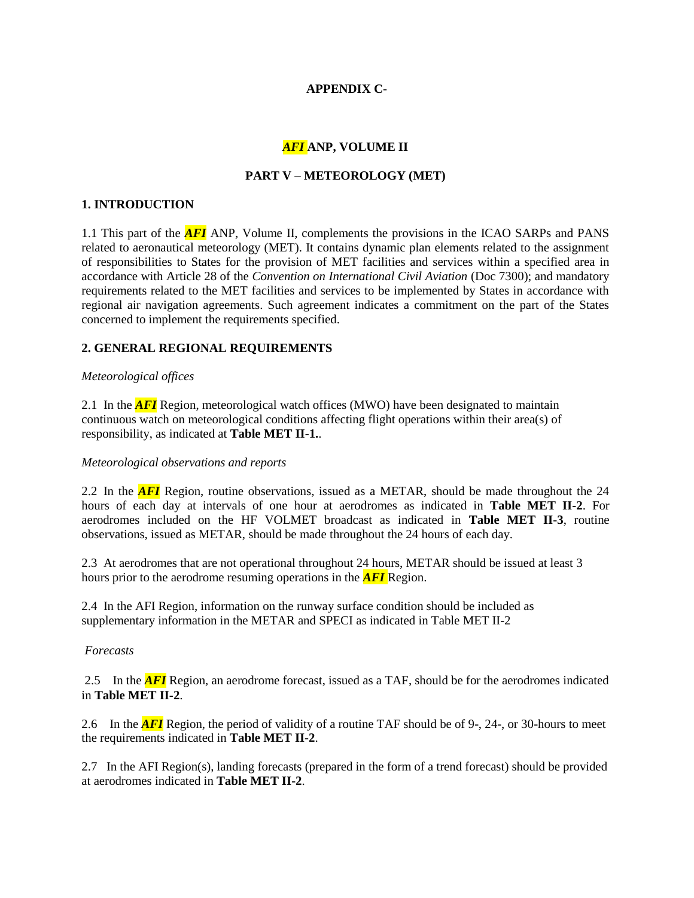# **APPENDIX C-**

# *AFI* **ANP, VOLUME II**

# **PART V – METEOROLOGY (MET)**

### **1. INTRODUCTION**

1.1 This part of the *AFI* ANP, Volume II, complements the provisions in the ICAO SARPs and PANS related to aeronautical meteorology (MET). It contains dynamic plan elements related to the assignment of responsibilities to States for the provision of MET facilities and services within a specified area in accordance with Article 28 of the *Convention on International Civil Aviation* (Doc 7300); and mandatory requirements related to the MET facilities and services to be implemented by States in accordance with regional air navigation agreements. Such agreement indicates a commitment on the part of the States concerned to implement the requirements specified.

# **2. GENERAL REGIONAL REQUIREMENTS**

# *Meteorological offices*

2.1 In the *AFI* Region, meteorological watch offices (MWO) have been designated to maintain continuous watch on meteorological conditions affecting flight operations within their area(s) of responsibility, as indicated at **Table MET II-1.**.

# *Meteorological observations and reports*

2.2 In the *AFI* Region, routine observations, issued as a METAR, should be made throughout the 24 hours of each day at intervals of one hour at aerodromes as indicated in **Table MET II-2**. For aerodromes included on the HF VOLMET broadcast as indicated in **Table MET II-3**, routine observations, issued as METAR, should be made throughout the 24 hours of each day.

2.3 At aerodromes that are not operational throughout 24 hours, METAR should be issued at least 3 hours prior to the aerodrome resuming operations in the *AFI* Region.

2.4 In the AFI Region, information on the runway surface condition should be included as supplementary information in the METAR and SPECI as indicated in Table MET II-2

#### *Forecasts*

2.5 In the *AFI* Region, an aerodrome forecast, issued as a TAF, should be for the aerodromes indicated in **Table MET II-2**.

2.6 In the *AFI* Region, the period of validity of a routine TAF should be of 9-, 24-, or 30-hours to meet the requirements indicated in **Table MET II-2**.

2.7 In the AFI Region(s), landing forecasts (prepared in the form of a trend forecast) should be provided at aerodromes indicated in **Table MET II-2**.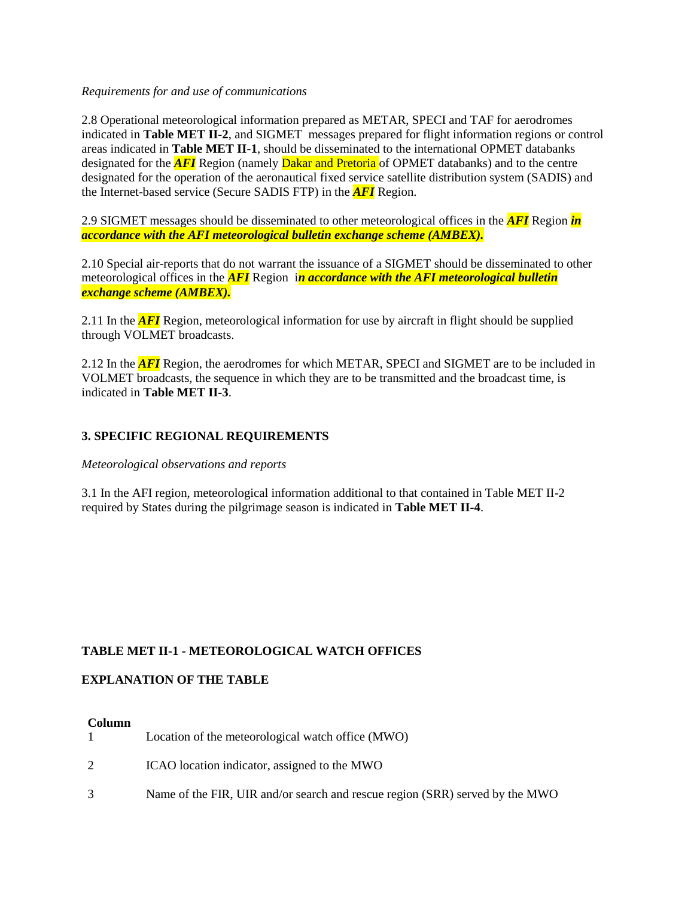### *Requirements for and use of communications*

2.8 Operational meteorological information prepared as METAR, SPECI and TAF for aerodromes indicated in **Table MET II-2**, and SIGMET messages prepared for flight information regions or control areas indicated in **Table MET II-1**, should be disseminated to the international OPMET databanks designated for the **AFI** Region (namely **Dakar and Pretoria** of OPMET databanks) and to the centre designated for the operation of the aeronautical fixed service satellite distribution system (SADIS) and the Internet-based service (Secure SADIS FTP) in the *AFI* Region.

2.9 SIGMET messages should be disseminated to other meteorological offices in the *AFI* Region *in accordance with the AFI meteorological bulletin exchange scheme (AMBEX).*

2.10 Special air-reports that do not warrant the issuance of a SIGMET should be disseminated to other meteorological offices in the *AFI* Region i*n accordance with the AFI meteorological bulletin exchange scheme (AMBEX).*

2.11 In the *AFI* Region, meteorological information for use by aircraft in flight should be supplied through VOLMET broadcasts.

2.12 In the *AFI* Region, the aerodromes for which METAR, SPECI and SIGMET are to be included in VOLMET broadcasts, the sequence in which they are to be transmitted and the broadcast time, is indicated in **Table MET II-3**.

# **3. SPECIFIC REGIONAL REQUIREMENTS**

*Meteorological observations and reports*

3.1 In the AFI region, meteorological information additional to that contained in Table MET II-2 required by States during the pilgrimage season is indicated in **Table MET II-4**.

# **TABLE MET II-1 - [METEOROLOGICAL WATCH OFFICES](https://portal.icao.int/space/ANP/Documents/AFI/FASID%20Table%20MET%20II-1.docx)**

# **EXPLANATION OF THE TABLE**

#### **Column**

|               | Location of the meteorological watch office (MWO)                            |
|---------------|------------------------------------------------------------------------------|
|               | ICAO location indicator, assigned to the MWO                                 |
| $\mathcal{R}$ | Name of the FIR, UIR and/or search and rescue region (SRR) served by the MWO |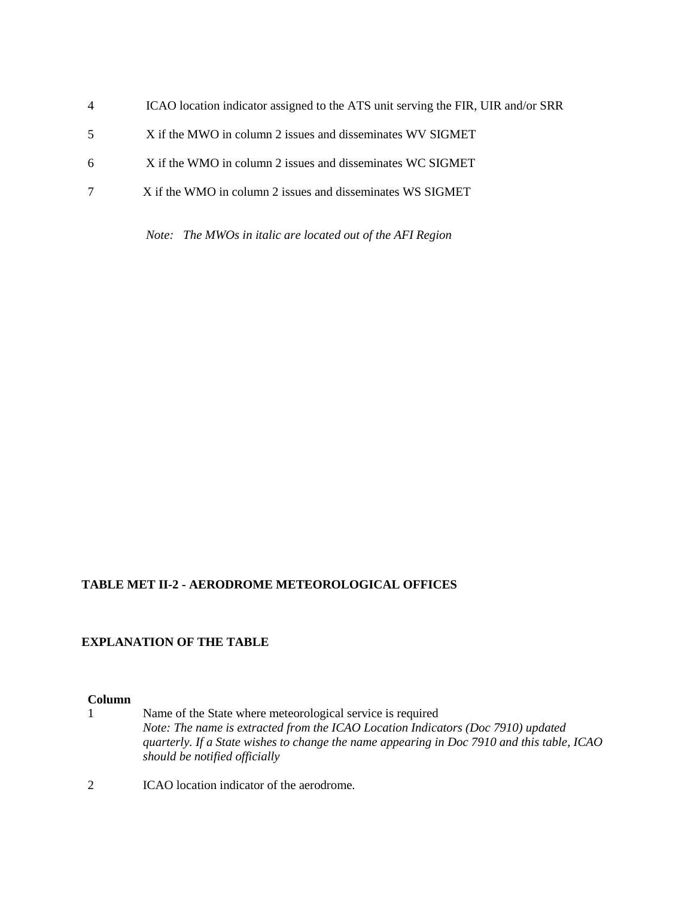| $\overline{4}$ | ICAO location indicator assigned to the ATS unit serving the FIR, UIR and/or SRR |
|----------------|----------------------------------------------------------------------------------|
| 5              | X if the MWO in column 2 issues and disseminates WV SIGMET                       |
| 6              | X if the WMO in column 2 issues and disseminates WC SIGMET                       |
|                | X if the WMO in column 2 issues and disseminates WS SIGMET                       |
|                |                                                                                  |

*Note: The MWOs in italic are located out of the AFI Region*

# **TABLE MET II-2 - [AERODROME METEOROLOGICAL OFFICES](https://portal.icao.int/space/ANP/Documents/AFI/FASID%20Table%20MET%20II-2.docx)**

# **EXPLANATION OF THE TABLE**

# **Column**

- 1 Name of the State where meteorological service is required *Note: The name is extracted from the ICAO Location Indicators (Doc 7910) updated quarterly. If a State wishes to change the name appearing in Doc 7910 and this table, ICAO should be notified officially*
- 2 ICAO location indicator of the aerodrome*.*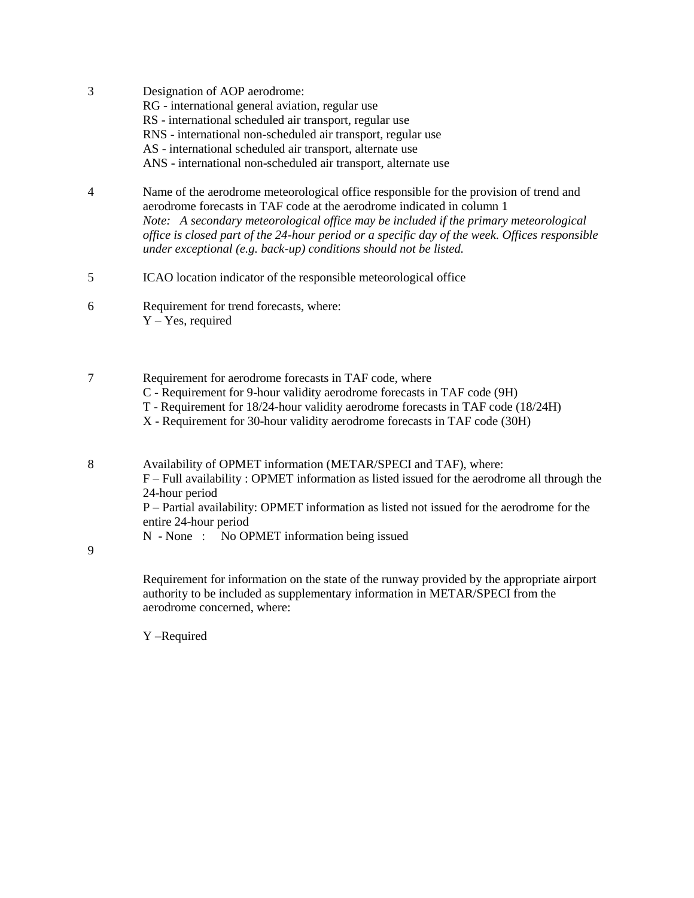- 3 Designation of AOP aerodrome: RG - international general aviation, regular use RS - international scheduled air transport, regular use RNS - international non-scheduled air transport, regular use AS - international scheduled air transport, alternate use ANS - international non-scheduled air transport, alternate use
- 4 Name of the aerodrome meteorological office responsible for the provision of trend and aerodrome forecasts in TAF code at the aerodrome indicated in column 1 *Note: A secondary meteorological office may be included if the primary meteorological office is closed part of the 24-hour period or a specific day of the week. Offices responsible under exceptional (e.g. back-up) conditions should not be listed.*
- 5 ICAO location indicator of the responsible meteorological office
- 6 Requirement for trend forecasts, where: Y – Yes, required
- 7 Requirement for aerodrome forecasts in TAF code, where
	- C Requirement for 9-hour validity aerodrome forecasts in TAF code (9H)
	- T Requirement for 18/24-hour validity aerodrome forecasts in TAF code (18/24H)
	- X Requirement for 30-hour validity aerodrome forecasts in TAF code (30H)

8 Availability of OPMET information (METAR/SPECI and TAF), where: F – Full availability : OPMET information as listed issued for the aerodrome all through the 24-hour period P – Partial availability: OPMET information as listed not issued for the aerodrome for the entire 24-hour period

N - None : No OPMET information being issued

9

Requirement for information on the state of the runway provided by the appropriate airport authority to be included as supplementary information in METAR/SPECI from the aerodrome concerned, where:

Y –Required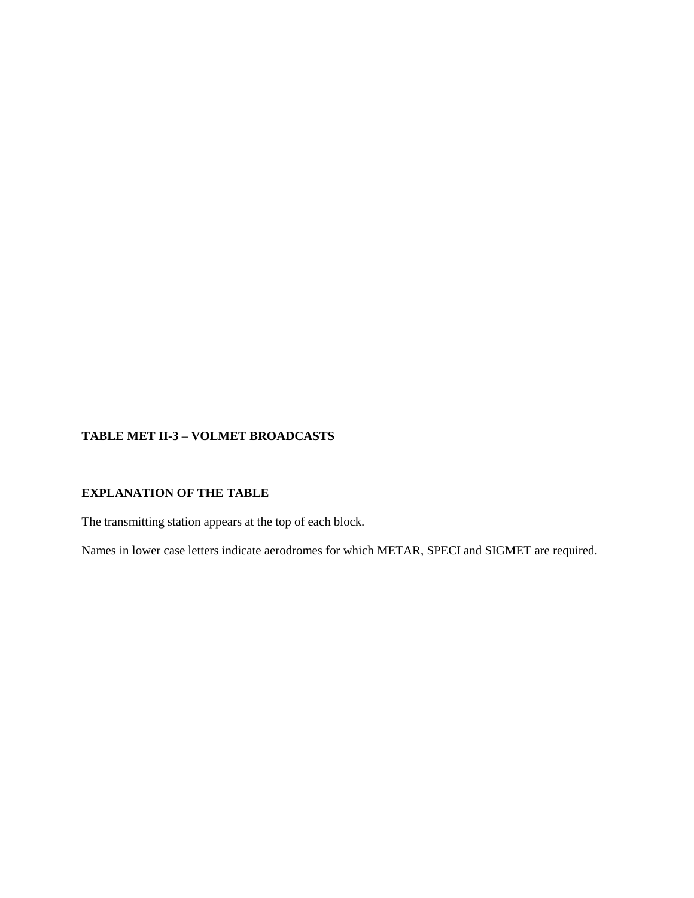# **TABLE MET II-3 – [VOLMET BROADCASTS](https://portal.icao.int/space/ANP/Documents/AFI/FASID%20Table%20MET%20II-3.docx)**

# **EXPLANATION OF THE TABLE**

The transmitting station appears at the top of each block.

Names in lower case letters indicate aerodromes for which METAR, SPECI and SIGMET are required.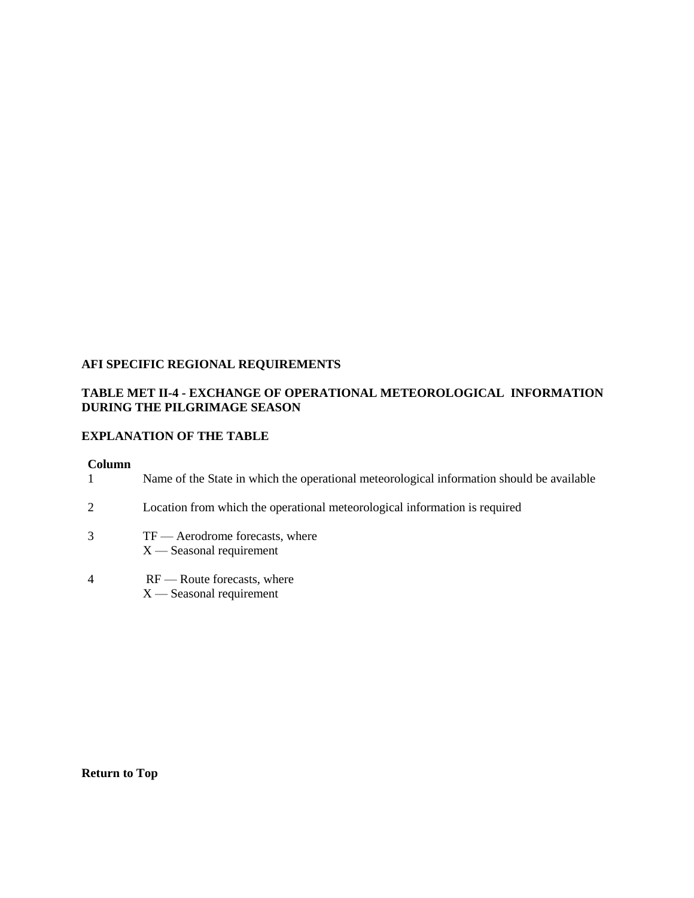# **AFI SPECIFIC REGIONAL REQUIREMENTS**

# **TABLE MET II-4 - [EXCHANGE OF OPERATIONAL METEOROLOGICAL INFORMATION](https://portal.icao.int/space/ANP/Documents/AFI/FASID%20Table%20MET%20II-X.docx)  [DURING THE PILGRIMAGE SEASON](https://portal.icao.int/space/ANP/Documents/AFI/FASID%20Table%20MET%20II-X.docx)**

# **EXPLANATION OF THE TABLE**

#### **Column**

|                | Name of the State in which the operational meteorological information should be available |
|----------------|-------------------------------------------------------------------------------------------|
| 2              | Location from which the operational meteorological information is required                |
| 3              | $TF$ — Aerodrome forecasts, where<br>$X$ — Seasonal requirement                           |
| $\overline{4}$ | $RF$ — Route forecasts, where<br>$X$ — Seasonal requirement                               |

**[Return to Top](https://portal.icao.int/space/ANP/Pages/MID_FASID_MET.aspx)**